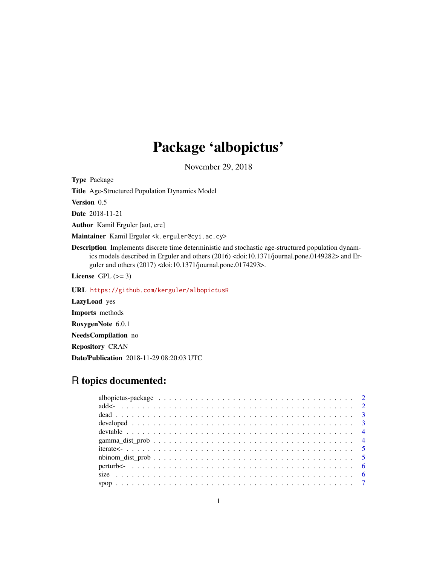## Package 'albopictus'

November 29, 2018

Type Package

Title Age-Structured Population Dynamics Model

Version 0.5

Date 2018-11-21

Author Kamil Erguler [aut, cre]

Maintainer Kamil Erguler <k.erguler@cyi.ac.cy>

Description Implements discrete time deterministic and stochastic age-structured population dynamics models described in Erguler and others (2016) <doi:10.1371/journal.pone.0149282> and Erguler and others (2017) <doi:10.1371/journal.pone.0174293>.

License GPL  $(>= 3)$ 

URL <https://github.com/kerguler/albopictusR>

LazyLoad yes Imports methods RoxygenNote 6.0.1 NeedsCompilation no Repository CRAN Date/Publication 2018-11-29 08:20:03 UTC

### R topics documented: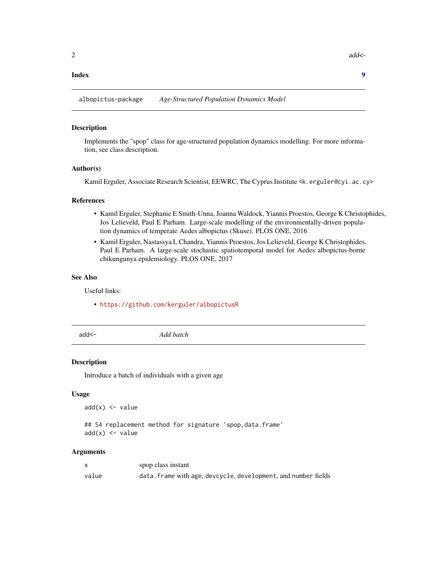#### <span id="page-1-0"></span>**Index** [9](#page-8-0)

albopictus-package *Age-Structured Population Dynamics Model*

#### Description

Implements the "spop" class for age-structured population dynamics modelling. For more information, see class description.

#### Author(s)

Kamil Erguler, Associate Research Scientist, EEWRC, The Cyprus Institute <k.erguler@cyi.ac.cy>

#### References

- Kamil Erguler, Stephanie E Smith-Unna, Joanna Waldock, Yiannis Proestos, George K Christophides, Jos Lelieveld, Paul E Parham. Large-scale modelling of the environmentally-driven population dynamics of temperate Aedes albopictus (Skuse). PLOS ONE, 2016
- Kamil Erguler, Nastassya L Chandra, Yiannis Proestos, Jos Lelieveld, George K Christophides, Paul E Parham. A large-scale stochastic spatiotemporal model for Aedes albopictus-borne chikungunya epidemiology. PLOS ONE, 2017

#### See Also

Useful links:

- <https://github.com/kerguler/albopictusR>
- 

add<- *Add batch*

#### Description

Introduce a batch of individuals with a given age

#### Usage

 $add(x) \leftarrow value$ 

## S4 replacement method for signature 'spop, data.frame'  $add(x) \leftarrow value$ 

#### Arguments

|       | spop class instant                                             |
|-------|----------------------------------------------------------------|
| value | data. frame with age, devcycle, development, and number fields |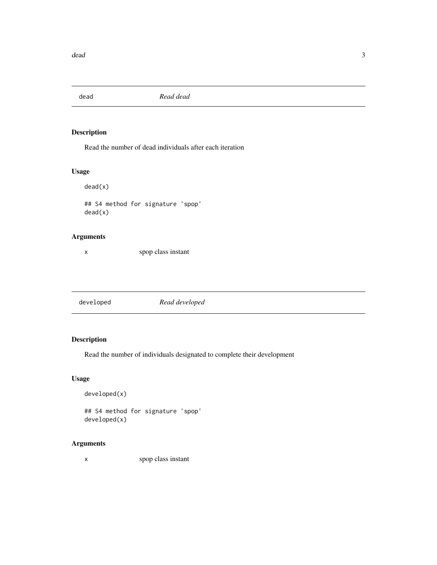<span id="page-2-0"></span>

Read the number of dead individuals after each iteration

#### Usage

dead(x)

## S4 method for signature 'spop' dead(x)

#### Arguments

x spop class instant

developed *Read developed*

#### Description

Read the number of individuals designated to complete their development

#### Usage

```
developed(x)
```
## S4 method for signature 'spop' developed(x)

### Arguments

x spop class instant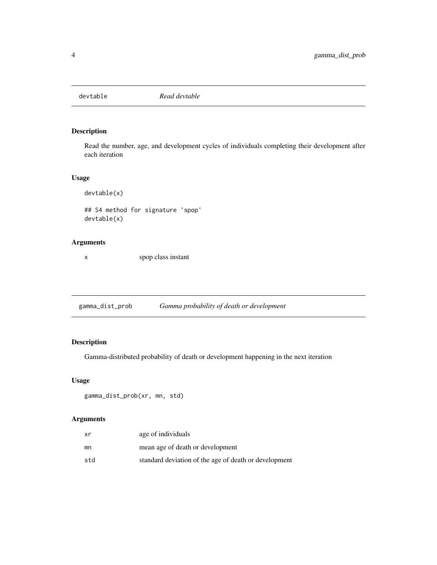<span id="page-3-0"></span>

Read the number, age, and development cycles of individuals completing their development after each iteration

#### Usage

devtable(x)

## S4 method for signature 'spop' devtable(x)

#### Arguments

x spop class instant

gamma\_dist\_prob *Gamma probability of death or development*

### Description

Gamma-distributed probability of death or development happening in the next iteration

#### Usage

```
gamma_dist_prob(xr, mn, std)
```
#### Arguments

| xr  | age of individuals                                    |
|-----|-------------------------------------------------------|
| mn  | mean age of death or development                      |
| std | standard deviation of the age of death or development |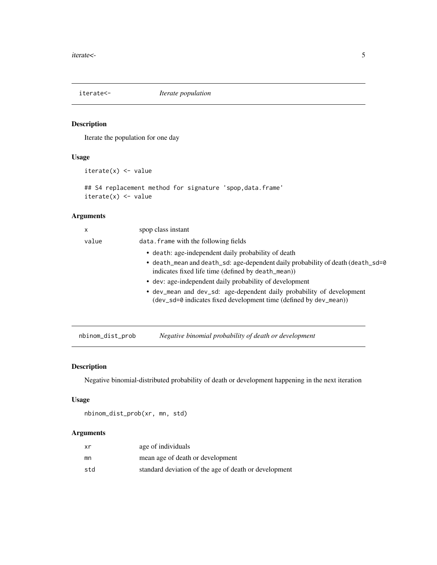<span id="page-4-0"></span>

Iterate the population for one day

#### Usage

iterate(x) <- value

```
## S4 replacement method for signature 'spop, data.frame'
iterate(x) < - value
```
#### Arguments

| x     | spop class instant                                                                                                                         |
|-------|--------------------------------------------------------------------------------------------------------------------------------------------|
| value | data. frame with the following fields                                                                                                      |
|       | • death: age-independent daily probability of death                                                                                        |
|       | • death_mean and death_sd: age-dependent daily probability of death (death_sd=0)<br>indicates fixed life time (defined by death_mean))     |
|       | • dev: age-independent daily probability of development                                                                                    |
|       | • dev_mean and dev_sd: age-dependent daily probability of development<br>(dev_sd=0 indicates fixed development time (defined by dev_mean)) |
|       |                                                                                                                                            |

nbinom\_dist\_prob *Negative binomial probability of death or development*

#### Description

Negative binomial-distributed probability of death or development happening in the next iteration

#### Usage

nbinom\_dist\_prob(xr, mn, std)

#### Arguments

| xr  | age of individuals                                    |
|-----|-------------------------------------------------------|
| mn  | mean age of death or development                      |
| std | standard deviation of the age of death or development |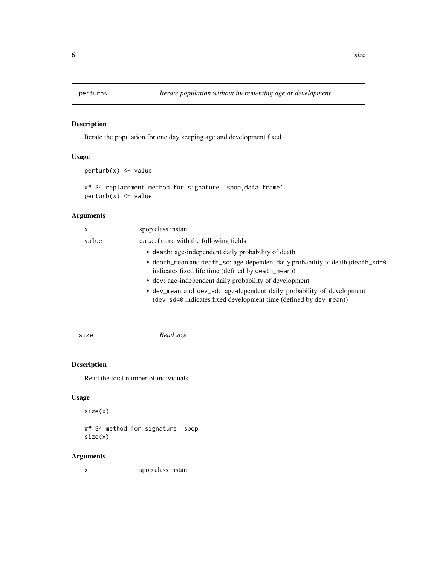<span id="page-5-0"></span>

Iterate the population for one day keeping age and development fixed

#### Usage

```
perturb(x) < - value
```

```
## S4 replacement method for signature 'spop, data.frame'
perturb(x) < - value
```
#### Arguments

| $\mathsf{x}$ | spop class instant                                                                                                                         |
|--------------|--------------------------------------------------------------------------------------------------------------------------------------------|
| value        | data. frame with the following fields                                                                                                      |
|              | • death: age-independent daily probability of death                                                                                        |
|              | • death_mean and death_sd: age-dependent daily probability of death (death_sd=0<br>indicates fixed life time (defined by death_mean))      |
|              | • dev: age-independent daily probability of development                                                                                    |
|              | • dev_mean and dev_sd: age-dependent daily probability of development<br>(dev_sd=0 indicates fixed development time (defined by dev_mean)) |
|              |                                                                                                                                            |

size *Read size*

### Description

Read the total number of individuals

#### Usage

```
size(x)
```
## S4 method for signature 'spop' size(x)

#### Arguments

x spop class instant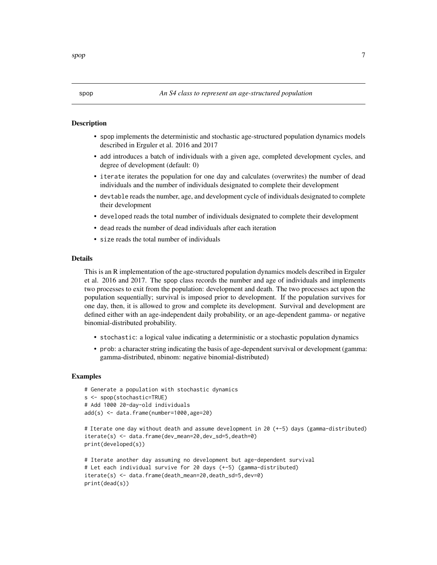- <span id="page-6-0"></span>• spop implements the deterministic and stochastic age-structured population dynamics models described in Erguler et al. 2016 and 2017
- add introduces a batch of individuals with a given age, completed development cycles, and degree of development (default: 0)
- iterate iterates the population for one day and calculates (overwrites) the number of dead individuals and the number of individuals designated to complete their development
- devtable reads the number, age, and development cycle of individuals designated to complete their development
- developed reads the total number of individuals designated to complete their development
- dead reads the number of dead individuals after each iteration
- size reads the total number of individuals

#### Details

This is an R implementation of the age-structured population dynamics models described in Erguler et al. 2016 and 2017. The spop class records the number and age of individuals and implements two processes to exit from the population: development and death. The two processes act upon the population sequentially; survival is imposed prior to development. If the population survives for one day, then, it is allowed to grow and complete its development. Survival and development are defined either with an age-independent daily probability, or an age-dependent gamma- or negative binomial-distributed probability.

- stochastic: a logical value indicating a deterministic or a stochastic population dynamics
- prob: a character string indicating the basis of age-dependent survival or development (gamma: gamma-distributed, nbinom: negative binomial-distributed)

#### Examples

```
# Generate a population with stochastic dynamics
s <- spop(stochastic=TRUE)
# Add 1000 20-day-old individuals
add(s) <- data.frame(number=1000,age=20)
# Iterate one day without death and assume development in 20 (+-5) days (gamma-distributed)
iterate(s) <- data.frame(dev_mean=20,dev_sd=5,death=0)
print(developed(s))
```

```
# Iterate another day assuming no development but age-dependent survival
# Let each individual survive for 20 days (+-5) (gamma-distributed)
iterate(s) <- data.frame(death_mean=20,death_sd=5,dev=0)
print(dead(s))
```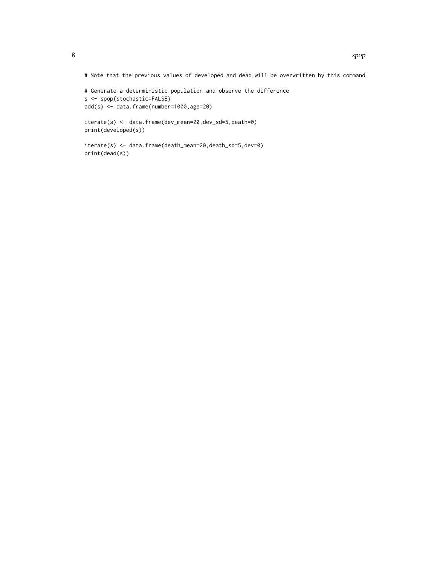# Note that the previous values of developed and dead will be overwritten by this command

```
# Generate a deterministic population and observe the difference
s <- spop(stochastic=FALSE)
add(s) <- data.frame(number=1000,age=20)
```
iterate(s) <- data.frame(dev\_mean=20,dev\_sd=5,death=0) print(developed(s))

iterate(s) <- data.frame(death\_mean=20,death\_sd=5,dev=0) print(dead(s))